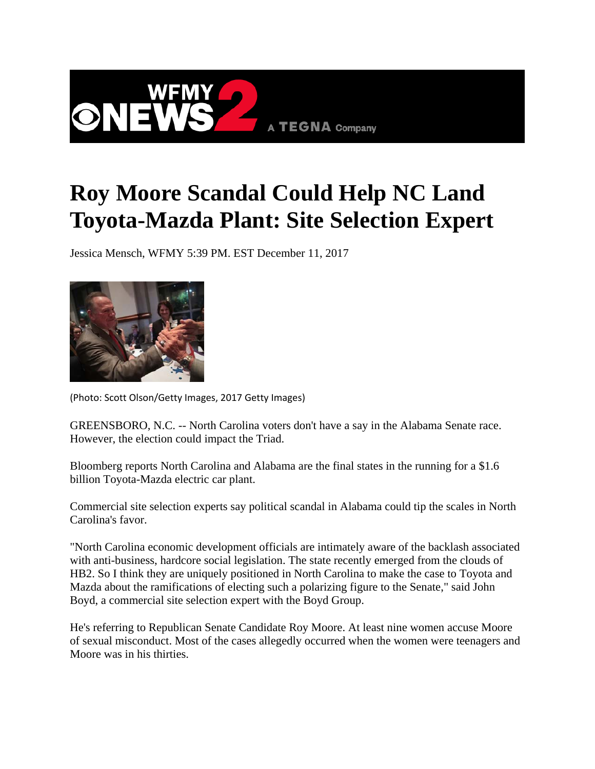

## **Roy Moore Scandal Could Help NC Land Toyota-Mazda Plant: Site Selection Expert**

Jessica Mensch, WFMY 5:39 PM. EST December 11, 2017



(Photo: Scott Olson/Getty Images, 2017 Getty Images)

GREENSBORO, N.C. -- North Carolina voters don't have a say in the Alabama Senate race. However, the election could impact the Triad.

Bloomberg reports North Carolina and Alabama are the final states in the running for a \$1.6 billion Toyota-Mazda electric car plant.

Commercial site selection experts say political scandal in Alabama could tip the scales in North Carolina's favor.

"North Carolina economic development officials are intimately aware of the backlash associated with anti-business, hardcore social legislation. The state recently emerged from the clouds of HB2. So I think they are uniquely positioned in North Carolina to make the case to Toyota and Mazda about the ramifications of electing such a polarizing figure to the Senate," said John Boyd, a commercial site selection expert with the Boyd Group.

He's referring to Republican Senate Candidate Roy Moore. At least nine women accuse Moore of sexual misconduct. Most of the cases allegedly occurred when the women were teenagers and Moore was in his thirties.